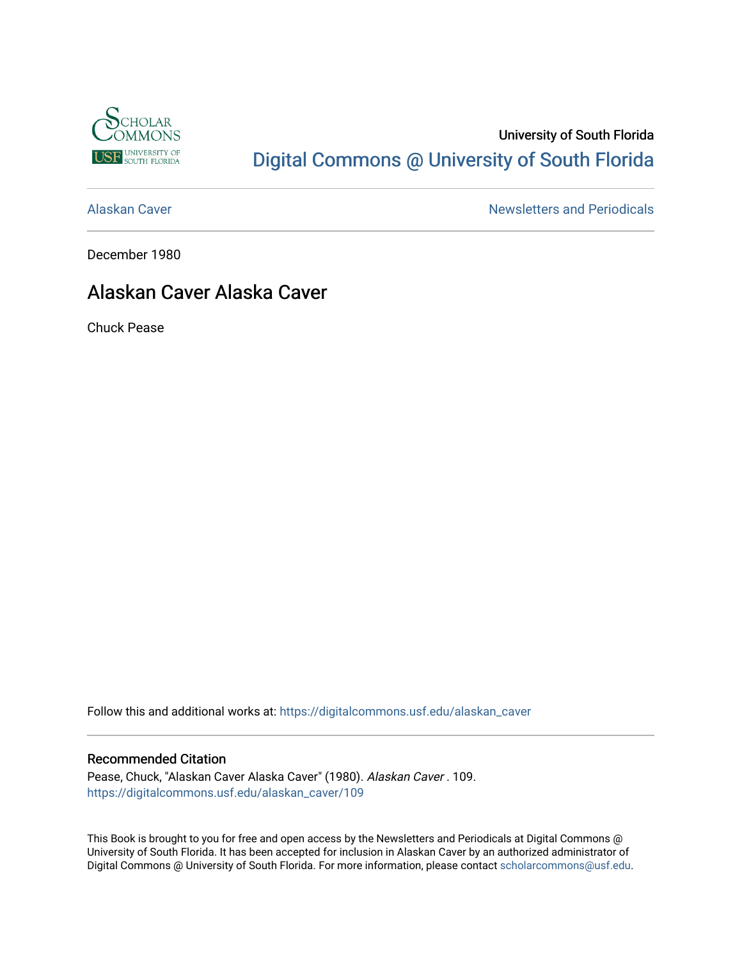

# University of South Florida [Digital Commons @ University of South Florida](https://digitalcommons.usf.edu/)

[Alaskan Caver](https://digitalcommons.usf.edu/alaskan_caver) Newsletters and Periodicals

December 1980

# Alaskan Caver Alaska Caver

Chuck Pease

Follow this and additional works at: [https://digitalcommons.usf.edu/alaskan\\_caver](https://digitalcommons.usf.edu/alaskan_caver?utm_source=digitalcommons.usf.edu%2Falaskan_caver%2F109&utm_medium=PDF&utm_campaign=PDFCoverPages)

#### Recommended Citation

Pease, Chuck, "Alaskan Caver Alaska Caver" (1980). Alaskan Caver . 109. [https://digitalcommons.usf.edu/alaskan\\_caver/109](https://digitalcommons.usf.edu/alaskan_caver/109?utm_source=digitalcommons.usf.edu%2Falaskan_caver%2F109&utm_medium=PDF&utm_campaign=PDFCoverPages)

This Book is brought to you for free and open access by the Newsletters and Periodicals at Digital Commons @ University of South Florida. It has been accepted for inclusion in Alaskan Caver by an authorized administrator of Digital Commons @ University of South Florida. For more information, please contact [scholarcommons@usf.edu.](mailto:scholarcommons@usf.edu)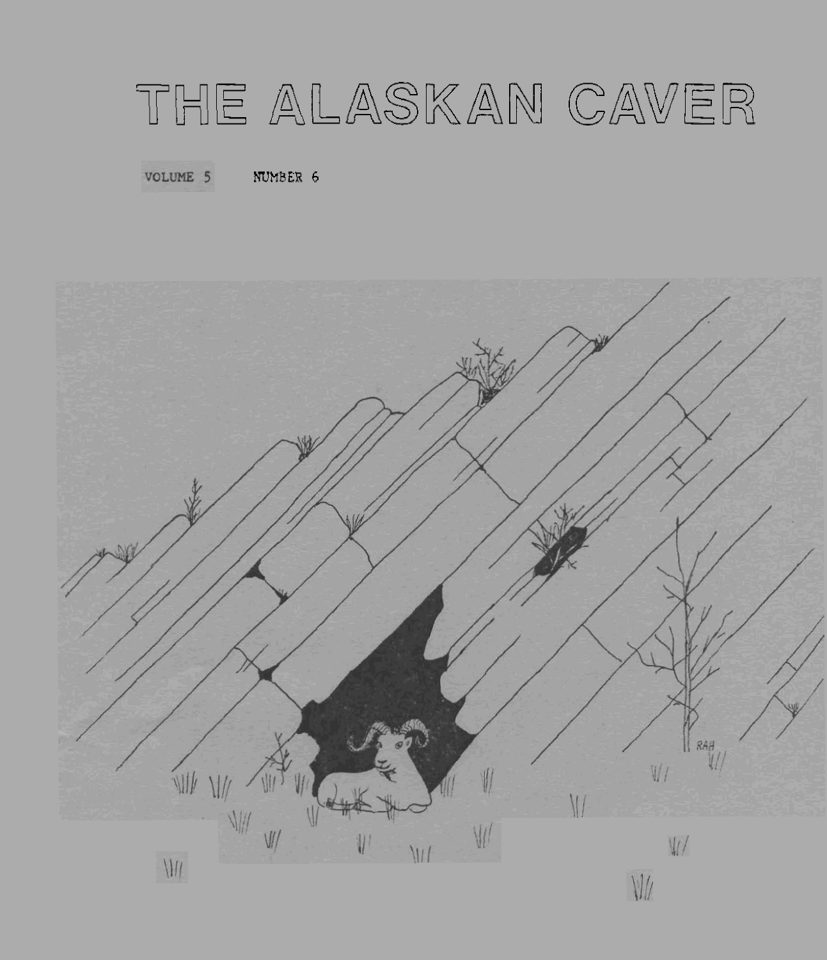# THE ALASKAN CAVER

VOLUME 5 **NUMBER** 6

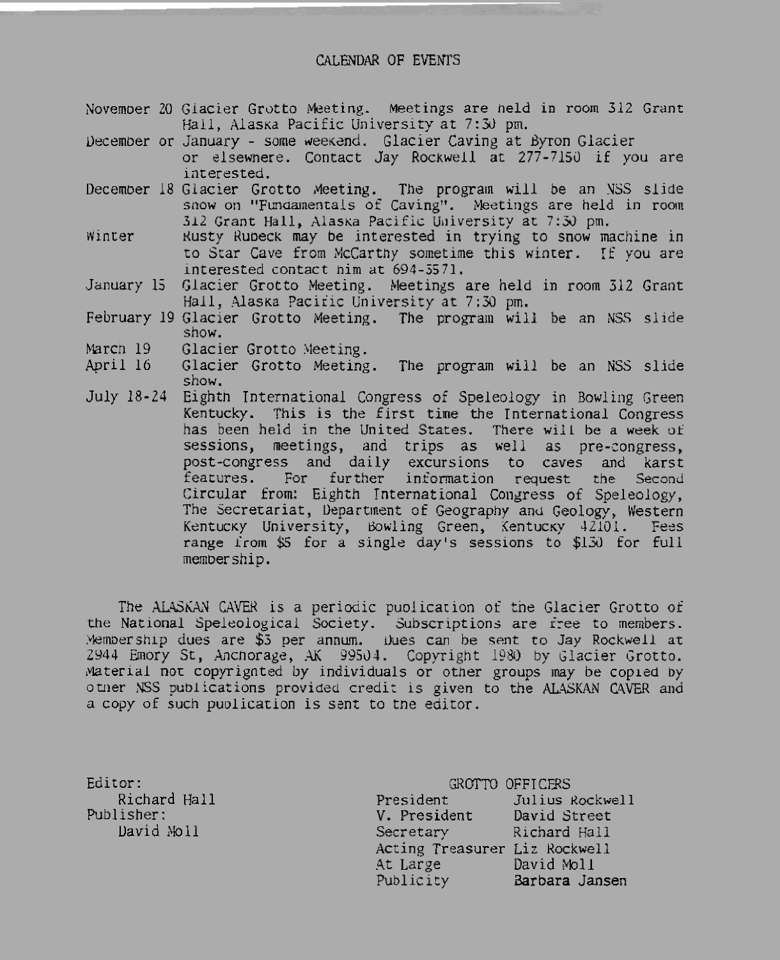#### CALENDAR OF EVENTS

- November 20 Giacier Grotto Meeting. Meetings are held in room 312 Grant Hall, Alaska Pacific University at 7:30 pm.
- December or January some weekend. Glacier Caving at Byron Glacier or elsewnere. Contact Jay Rockwell at 277-7150 if you are interested.
- December 18 Glacier Grotto Meeting. The program will be an NSS slide snow on "Fundamentals of Caving". Meetings are held in room 312 Grant Hall, Alaska Pacific University at 7:30 pm.
- Winter Rusty Rubeck may be interested in trying to snow machine in to Star Cave from McCarthy sometime this winter. If you are interested contact him at 694-5571.
- Glacier Grotto Meeting. Meetings are held in room 312 Grant January 15 Hall, Alaska Pacific University at 7:30 pm.
- February 19 Glacier Grotto Meeting. The program will be an NSS slide show.
- March 19 Glacier Grotto Meeting.
- Glacier Grotto Meeting. The program will be an NSS slide April 16 show.
- July 18-24 Eighth International Congress of Speleology in Bowling Green Kentucky. This is the first time the International Congress has been held in the United States. There will be a week of sessions, meetings, and trips as well as pre-congress, post-congress and daily excursions to caves and karst features. For further information request the Second Circular from: Eighth International Congress of Speleology, The Secretariat, Department of Geography and Geology, Western Kentucky University, Bowling Green, Kentucky 42101. Fees range from \$5 for a single day's sessions to \$130 for full membership.

The ALASKAN CAVER is a periodic publication of the Glacier Grotto of the National Speleological Society. Subscriptions are free to members.<br>Membership dues are \$3 per annum. Dues can be sent to Jay Rockwell at 2944 Emory St, Anchorage, AK 99504. Copyright 1980 by Glacier Grotto. Material not copyrighted by individuals or other groups may be copied by other NSS publications provided credit is given to the ALASKAN CAVER and a copy of such publication is sent to the editor.

Editor: Richard Hall Publisher: David Moll

GROTTO OFFICERS President Julius Rockwell David Street V. President Secretary Richard Hall Acting Treasurer Liz Rockwell At Large David Moll<br>Publicity Barbara Jansen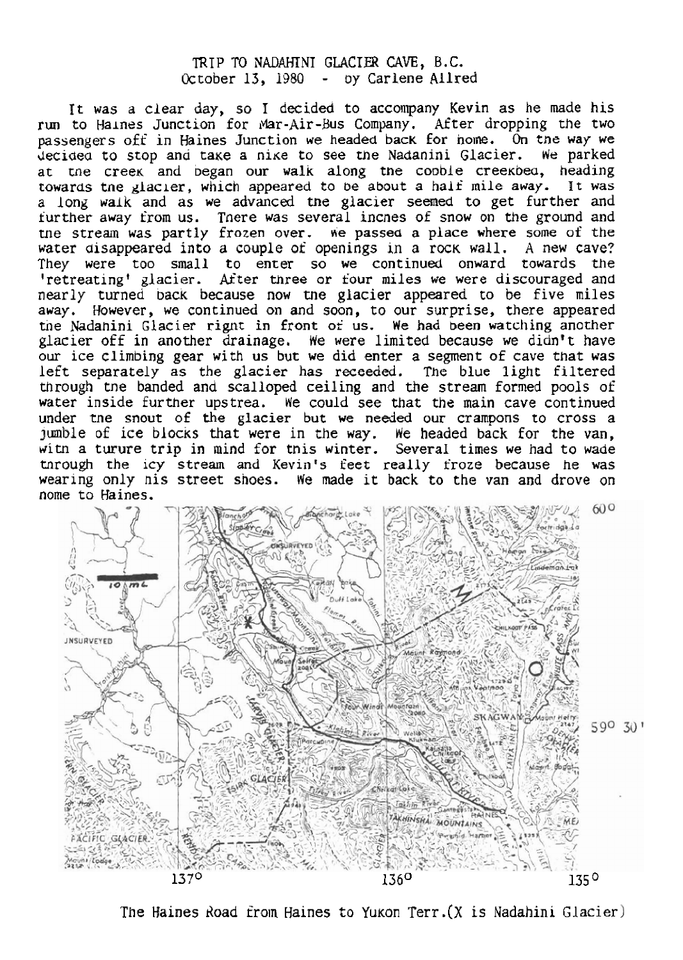# TRTP **TO NmMNI GLACIER CAVE, B.C.**  October 13, 1980 - **~y** CarLene **Allred**

**1 t was** a clear day, so I **decided to accompany Kevin as he made his**  run to Haines Junction for Mar-Air-Bus Company. After dropping the two passengers oft **in Haines Junction** we **headed** bac~ **for** borne. **On** tne **way we decided to stop and take a nike to see the Nadanini Glacier. We parked at the creek and began our walk along the cooble creekbed, heading** at me creeK **and Degan our walk** along tne cooble csee~bea, heading **towards** tne glacier, **which appeared** to **be** about **a half** mile **away. H t was <sup>a</sup>**long **walk** and **as we** advanced me **glacier semed to** get further and further **away** from **us.** Tnere was several incnes of snow **on** the ground **and**  me **stream was partly frozen over.** fie **passed a place where some of** the water **disappeared** into a couple of **openings** in **a** row **wall. A new cave?**  They **were** too **small** to **enter so we** continued onward **towards** the ?retreatingt glacier. **ASter three or four miles we were** discouraged **and**  nearly turned back because now the glacier appeared to be five miles **away.** However, we continued **on** and soon, to **our** surprise, there **appeared**  tne Mdahini Glacier **rignt in** front **of us. We had been** watching another glacier off **in** another drainage. **We** *were* **limited** because we didn **t** have our ice **climbing** gear with **us but we** did enter a segment **of cave that was**  left **separately as** the glacier **has** recaedd. The blue light **filtered**  through tne banded **ana scalloped ceiling** and the **stream** formed **pools** of water **inside** further upstrea. We could see that the **main** cave continued under **tne snout** of **the glacier** but **we needed our** crampons to **cross a**  jumble of ice **blac~s** that were **in** the way. **We** headed **back** for *the* **van,**  ~itn **a turuse** trip **in** mind for **tnks** winter. Several **times we** had **to wade**  tnrough the icy stream and Kevin's feet really froze because he was wearlng **only nis** street **snoes.** We made **it back to** the **van and** drove **on**  nome **to** Haines.



The **Haines bad** from Haines **to** Yu~on Terr . **(X is Nadahini** Glacier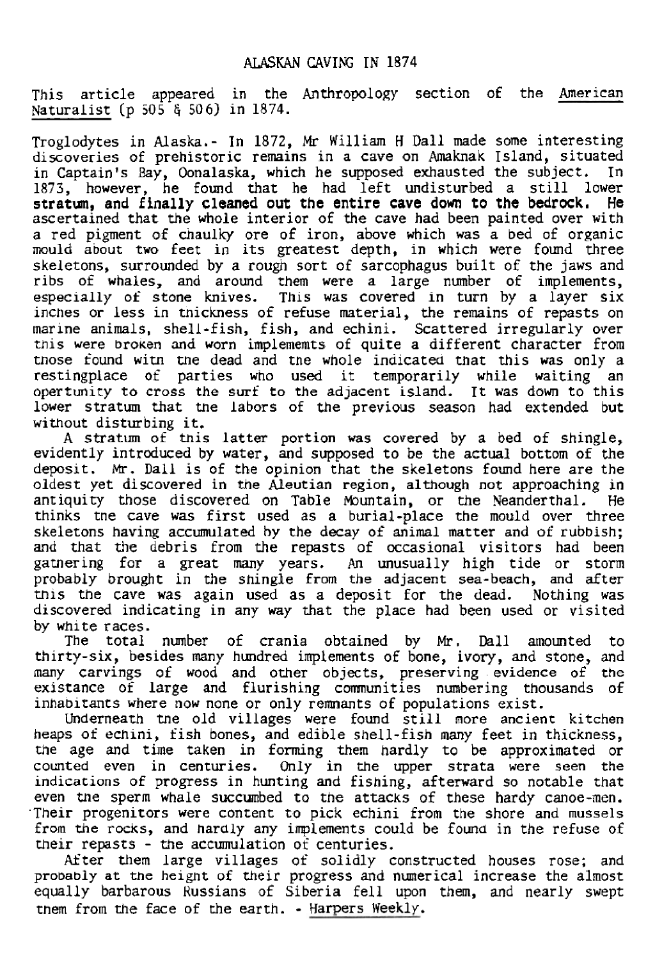## **ALdSKPcN CAVING TN 1874**

This article appeared in the Anthropology section of the American **Naturalisr (p** 505 *6* 506) in 1874.

Troglodytes in **Alaska.- Tn** 1872, Mr **William** H **Da91** made **some interesting discoveries of** prehistoric **remains in a cave on** Amaknak **Island, situated in Captain"** Bay, **Oonalaska,** which he **supposed exhausted** the **subject.** In 1873, **however,** he found **that** he had left undisturbed a **still** lower **stratm, and** finally cleaned out the entire cave down **to** the bedrock. **He**  ascertained that the **whole** interior of the **cave had** been **painted** over with a red **pigment** of chaulky ore of iron, **above which was a** bed **of organic**  mould **about two** feet **in its** greatest depth, **in** which were found three skeletons, surrounded by **a** rough sort of sarcophagus **built** of the **jaws** and **ribs** of **whales,** and around **them** were **a** large **number** of implements, especially eg **stone knives. This was covered in turn by** a layer **six incnes** or **less in michess** of **refuse** material, the **remains** of repasts on **marme** animals, shell-fish, fish, **and** echini. **Scattered** irregularly over tnis **were broKen and** worn **implememts of quite** a different character from **those** found witn **tne** dead and *tne* **whole indicated** that **this was** only a restingplace of parties **who used it temporarily while waiting an**  opertunity **to cross** the **surf to** the **adjacent island. Tt** was **down** to this **Lower** stratum that **tne labors of the previous season had** extended but without disturbing **it.** 

**<sup>A</sup>**stratum of **this latter portion was covered** by **a bed** of **shingle, evidently** intrduced **by water, and** supposed **to** be the actual **bottom of** the **deposit.** Mr. **Dall is of** the opinion **that the skeletons** found here **are** the oldest **yet** discovered **in the Aleutian** region, **although** not approaching in antiquity those discovered **on** Table muntain, or the Neanderthal. He thinks tne cave **was first** used as a **burial-place the mould over three skeletons having accumulated hy the decay of animal** matter and **of** rubbish; **and** that the debris **from the repasts** of **occasional visitors had** been garnering for a great **my** years. **An unusually high** tide or stom probably brought in **the shingle from** the **adjacent sea-beach, and** after this the cave **was** again used **as a** deposit for the **dead.** Nothing **was**  discovered **indicating in any** way **that** the place had been used or visited *by* **white** races.

The total number of crania obtained by Mr. Dall amounted to thirty-six, **besides my** hundred implements **of** bone, ivory, and stone, and many carvings **of** wood **and** other **objects, preserving** evidence **of** the **existance** of **large and** flurishing cmunities numbering thousands **of inhabitants where now none or** only **remnants** of populations exist.

Underneath **tne** old **villages** were found still **more ancient kitchen heaps** of echuni, fish bones, and edible shell-fish many **feet** in **thickness, the** age **and** time taken in forming them hardly to be **approximated** or counted even in centuries. **Only** in **the upper** strata **were** seen *the*  **indications of progress** in **hunting and** fishing, **afterward** so **notable that**  even **me sperm** whale **succumbed** to *the* attacks of these hardy canoe-men. **.Their** progenitors **were** content to **pick** echini from the **shore and mussels from the** rocks, **and hardly** any iplements could **be found** in the refuse of their repasts - the accumulation of centuries.

**k\*ter them large villages** of solidly **constructed houses** rose; and **probably at the** heignt of their **progress and** numerical increase the almost equally barbarous **Russians** of Siberia fell upon them, and nearly **swept**  rhem from the **face** of **the earth.** - **Harpers Weekly.**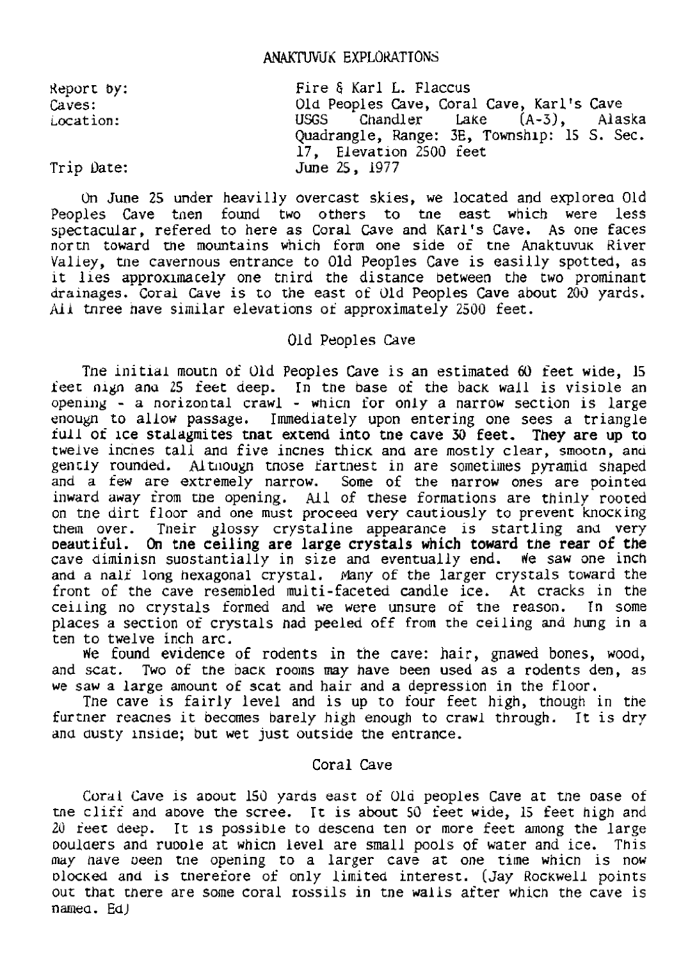# **ANAKTUVUK EXPLORATIONS**

| Report by: | Fire & Karl L. Flaccus                      |
|------------|---------------------------------------------|
| Caves:     | Old Peoples Cave, Coral Cave, Karl's Cave   |
| Location:  | USGS Chandler Lake (A-3), Alaska            |
|            | Quadrangle, Range: 3E, Township: 15 S. Sec. |
|            | 17, Elevation 2500 feet                     |
| Trip Date: | June 25, 1977                               |

**On June 25** mder **heavilly** overcast **skies, we** located and explorea Old Peoples Cave then found two others to the east which were less spectacular, refered **to** here **as Caral Cave** and **Karl's** Cave. **As** one faces north toward the mountains which form one side of the Anaktuvuk River Valley, the cavernous entrance to Old Peoples Cave is easilly spotted, as **lt 91es apgrox~macely** one tnird **the** distance **between** the **two** prominant drainages. Coral Cave **is** to the east of **Old Peoples Cave about** 203 yards. AAI **tnsee** nave similar **elevations oi** approximately 2500 **feet.** 

#### Old Peoples **Cave**

Tne initial rnoutn of Old Peoples **Cave is an estimated 60 feet wide,** 15 ieet nigh and 25 feet deep. In the base of the back wall is visible an opening - **a nosizontal** crawl - **whicn** for only **a narrow section** is large enougn to allow **passage.** Immediately upon entering one **sees** a triangle full of ice stalagmites that extend into the cave 30 feet. They are up to twelve lncnes tall **and** five **incnes** thic~ **and are mostly** clear, **smoocn, and**  gently rounded. Althougn those fartnest in are sometimes pyramid shaped and a **few** are extremely narrow. Some of **the** narrow ones **are** pointed inward away from **the** opening. All of these **formations are** thinly roored on the dirt floor and one must proceed very cautiously to prevent knocking **them** over. Tneir **glossy crystaline** appearance is startling **and** very oeautiful. **On** tne ceiling are large **crystals which toward** the rear of the cave **dirninisn suostantially in** size **and eventually** end. **He saw** one inch **and** a nali **long** hexagonal crystal. mny of *the* larger **cryszals toward** the front of the cave resembled multi-faceted candle ice. At cracks in the celling no crystals formed and we were unsure of the reason. In some ceiling no crystals formed and we were unsure of the reason. **places a section** of **crystals** nad **peeled** off from **the** ceiling and **hung in a**  ten **to** twelve **inch** arc.

He found evidence of rodents **in** the cave: hair, gnawed bones, wood, and scat. **Two of** the D~CK **roo~ns may have been used as a** rodents **den, as we saw a** large amount oS **scat and** hair **and a** depression **in** the floor.

Tne cave **is** fairly **level and is up** to four feet high, though in tne fur tner reacnes **it becomes barely** high enough to **crawl** through. It is dry anu **austy** knslde; **but** wet **just** outside **the** entrance.

#### Coral Cave

**Coral** Cave **1s** spout 150 **yards** east **of** Ola **peoples** Cave at **the** oase of the cliff and above the scree. It is about 50 feet wide, 15 feet high and 21) **feet, deep. It 1s possible** to **descend ten** or more feet among **the** large ooulaers **and suoole** at whicn level are **small** pools of water **and** *ice.* This **may** have oeen tne opening to a Larger cave at **one** zitne whicn **is now ~lo~~ed and is** merefore of only **limited** interest. (Jay **Rockwell** points our that there are **some** coral **rosslls in** tne walls after which the cave is namea. **Ed)**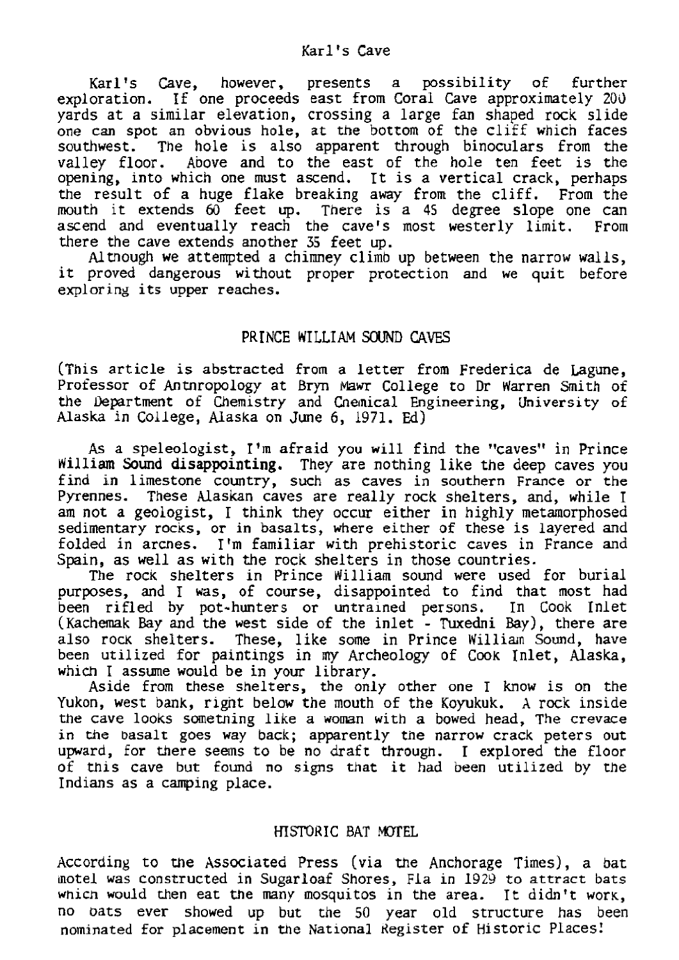#### $Kar1's$  *Cave*

**Karl's Cave, however, presents a possibility of further**  exploration. If **one proceeds** east from Coral Cave **approximately** 20d yards at **a similar** elevation, crossing **a** large **fan** shaped **rock** slide **one can spot an obvious** hole, **at \*e botsom** of the cliff **which** faces **southwest. The hole is** also **apparent** through **binoculars from the**  valley floor. **Above and to** *the* **east** of the **hole** ten feet **is the opening, into which** one **rnust** ascend. **It is a vertical crack, perhaps**  the result **of a** huge **flake breaking** away **from** the cliff. From **the mouth it extends 60 feet up.** There **is a 45** degree **slope one can**  ascend and eventually reach the cave's most westerly limit. From there *the* cave extends another **35 feet up.** 

**AlUlough we attempted a** chimney **climb up between** the narrow **walls, it** proved **dangerous without** proper protection and **we quit** before **exploring its upper reaches.** 

#### **PRINCE WILLIAM SOUND CAVES**

**(This** article **is abstracted** from **a** letter from **Fredesica** de bgune, **Professor of Antnropology** at **Btyn** Mawr **College** to **Dr** Warren Smith **of the** kprtrrtent of **Chemistry** and Cneinical **Engineering, University of Alaska** in **College, Alaska on** June 6, 1971. **Ed)** 

**As a speleoloyist, I'm** afraid **you will** find *the* **'tawss"** in Prince **Nilliam Sound** disappointing. **They** are nothing **like the** deep caves you **find in** limestone **country,** such as caves **in** southern France **or** the Pyrennes. **These Alaskan caves** are really rock **shelters,** and, **while** I am not **a geologist, 1 think** they occur either **in** highly **metamorphosed sedimentary** rocks, **or in basalts, where** either **of these is** layered **and**  folded in arcnes. **T 'rn familiar** with **prehistoric caves** in France and Spain, **as well as with** the rock **shelters** in **those countries.** 

The rocK **shelters** in Prince **Nilliam** sound were **used** for burial **purpases,** and **T was, of course, disappointed to** find that **most** had  $\frac{1}{2}$  **been rifled** by pot-hunters or untrained persons. (~achemak Bay and the **west side of the** inlet - Tuxedni **Bay),** there **are also** rock **shelters.** These, **like some** in Prince Milliarn Somd, **have been** utilized for paintings **in my Archeology of Cook** Inlet, **Alaska, which** 1 **assume would be in your library.** 

**Aside** from these shelters, the only other **one T know is on the Yukon, west bank,** rlgnt **below the** mouth of the **Kopkuk. X rock** inside **the** cave looks sometning **like a** womn with a **bowed** head, **The crevace in the basalt goes** way **back; apparently** the narrow **crack** peters **out upward,** for **there seems to** be **no** draft through. **T** explored **the** floor of **Ulis cave but** found **no signs that it had been** utilized **by** the **Indians as** a **camping** place.

# HISIDHIC **BAT** .WEL

**According** to **me Assmiaced Press (via the** Anchorage **Times),** a **bat**  motel **was constructed in** Sugarloaf Shores, Fla **in** 1929 **to attract** bats **which** would **then** eat **the many mosquitos in** the area. It didn't worK, **no bats** ever **showed up but** the 50 year old structure **has** been nominated for placement in the National Register of Historic Places!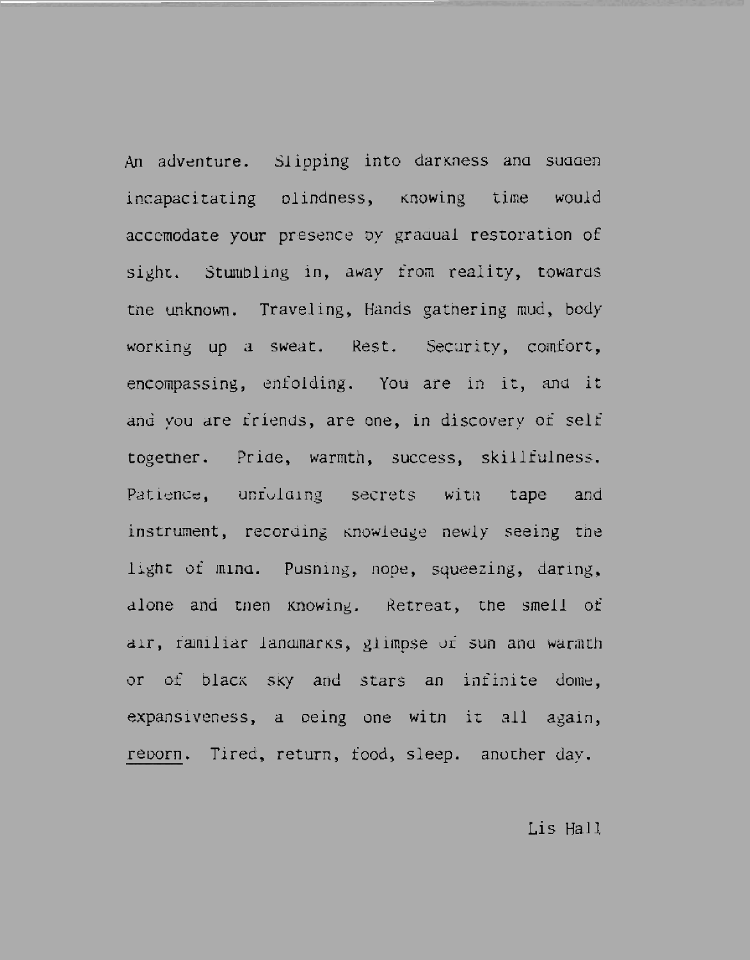An adventure. Slipping into darkness and sudden incapacitating olindness, knowing time would accemodate your presence by gradual restoration of sight. Stumbling in, away from reality, towards the unknown. Traveling, Hands gathering mud, body working up a sweat. Rest. Security, comfort, encompassing, enfolding. You are in it, and it and you are friends, are one, in discovery of self together. Pride, warmth, success, skillfulness. Patience, unfolding secrets with tape and instrument, recording knowledge newly seeing the light of mind. Pusning, nope, squeezing, daring. alone and then knowing. Retreat, the smell of air, familiar landmarks, glimpse of sun and warmth or of black sky and stars an infinite dome, expansiveness, a being one with it all again, reporn. Tired, return, food, sleep. another day.

#### Lis Hall